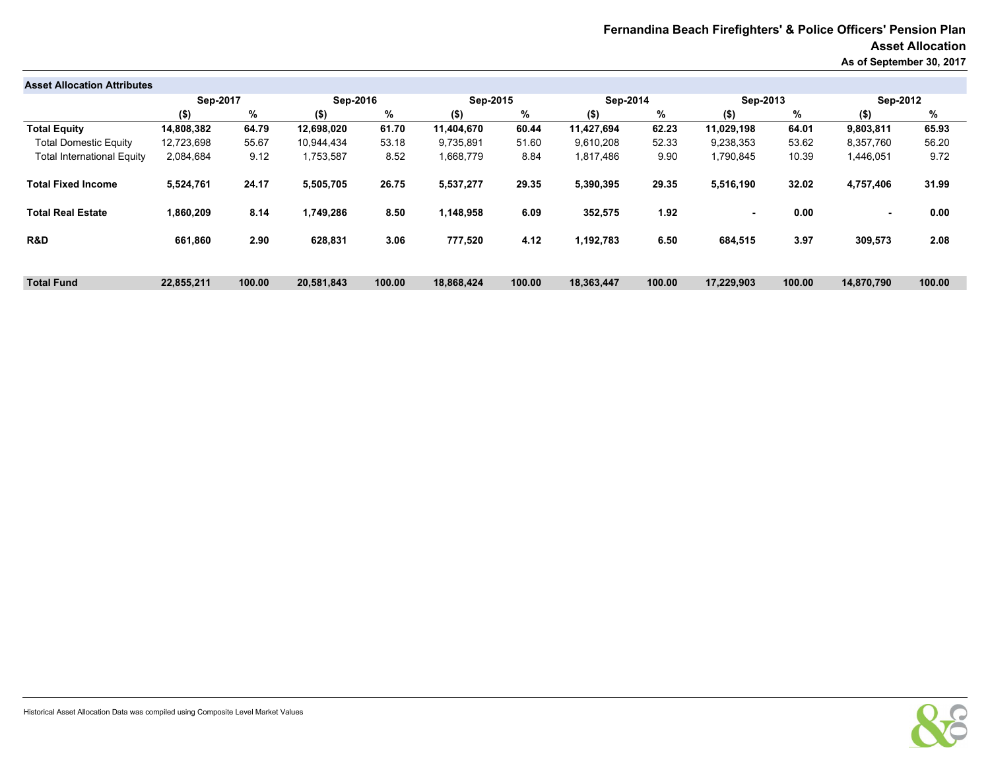## **Fernandina Beach Firefighters' & Police Officers' Pension Plan Asset Allocation As of September 30, 2017**

| <b>Asset Allocation Attributes</b> |            |        |            |        |            |        |            |        |            |        |            |        |
|------------------------------------|------------|--------|------------|--------|------------|--------|------------|--------|------------|--------|------------|--------|
|                                    | Sep-2017   |        | Sep-2016   |        | Sep-2015   |        | Sep-2014   |        | Sep-2013   |        | Sep-2012   |        |
|                                    | $($ \$)    | %      | $($ \$)    | %      | $($ \$)    | %      | $($ \$)    | %      | $($ \$)    | %      | $($ \$)    | %      |
| <b>Total Equity</b>                | 14,808,382 | 64.79  | 12,698,020 | 61.70  | 11.404.670 | 60.44  | 11,427,694 | 62.23  | 11.029.198 | 64.01  | 9,803,811  | 65.93  |
| <b>Total Domestic Equity</b>       | 12,723,698 | 55.67  | 10.944.434 | 53.18  | 9,735,891  | 51.60  | 9,610,208  | 52.33  | 9,238,353  | 53.62  | 8,357,760  | 56.20  |
| <b>Total International Equity</b>  | 2,084,684  | 9.12   | 1,753,587  | 8.52   | 1,668,779  | 8.84   | 1,817,486  | 9.90   | 1,790,845  | 10.39  | 1,446,051  | 9.72   |
| <b>Total Fixed Income</b>          | 5,524,761  | 24.17  | 5,505,705  | 26.75  | 5,537,277  | 29.35  | 5,390,395  | 29.35  | 5,516,190  | 32.02  | 4,757,406  | 31.99  |
| <b>Total Real Estate</b>           | 1,860,209  | 8.14   | 1,749,286  | 8.50   | 1,148,958  | 6.09   | 352,575    | 1.92   | н.         | 0.00   |            | 0.00   |
| R&D                                | 661,860    | 2.90   | 628,831    | 3.06   | 777,520    | 4.12   | 1,192,783  | 6.50   | 684,515    | 3.97   | 309,573    | 2.08   |
|                                    |            |        |            |        |            |        |            |        |            |        |            |        |
| <b>Total Fund</b>                  | 22,855,211 | 100.00 | 20,581,843 | 100.00 | 18,868,424 | 100.00 | 18,363,447 | 100.00 | 17,229,903 | 100.00 | 14,870,790 | 100.00 |